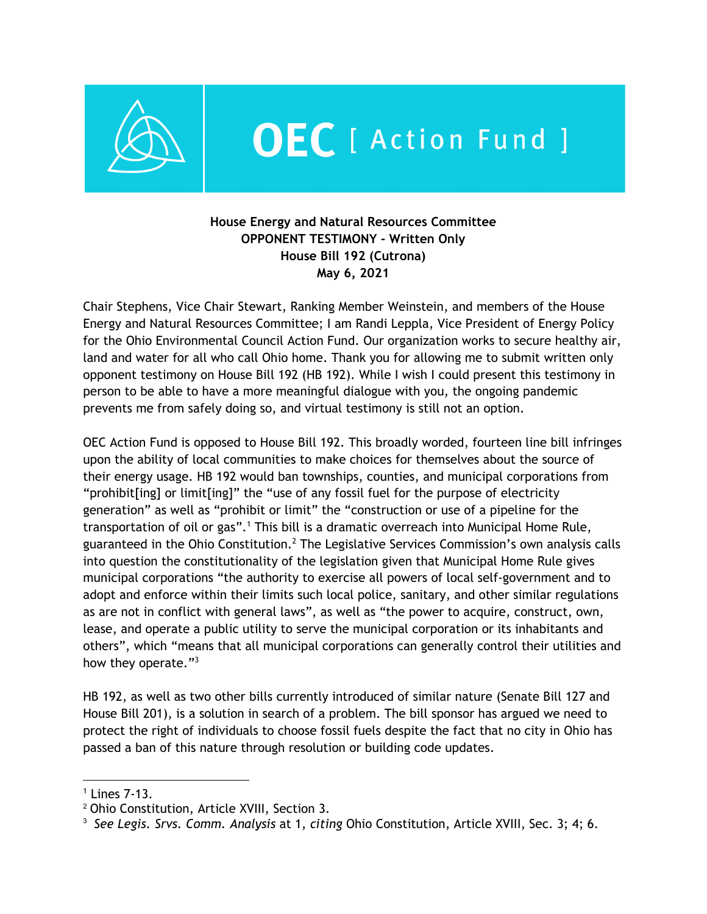

## OEC [ Action Fund ]

## **House Energy and Natural Resources Committee OPPONENT TESTIMONY - Written Only House Bill 192 (Cutrona) May 6, 2021**

Chair Stephens, Vice Chair Stewart, Ranking Member Weinstein, and members of the House Energy and Natural Resources Committee; I am Randi Leppla, Vice President of Energy Policy for the Ohio Environmental Council Action Fund. Our organization works to secure healthy air, land and water for all who call Ohio home. Thank you for allowing me to submit written only opponent testimony on House Bill 192 (HB 192). While I wish I could present this testimony in person to be able to have a more meaningful dialogue with you, the ongoing pandemic prevents me from safely doing so, and virtual testimony is still not an option.

OEC Action Fund is opposed to House Bill 192. This broadly worded, fourteen line bill infringes upon the ability of local communities to make choices for themselves about the source of their energy usage. HB 192 would ban townships, counties, and municipal corporations from "prohibit[ing] or limit[ing]" the "use of any fossil fuel for the purpose of electricity generation" as well as "prohibit or limit" the "construction or use of a pipeline for the transportation of oil or gas".<sup>1</sup> This bill is a dramatic overreach into Municipal Home Rule, guaranteed in the Ohio Constitution.<sup>2</sup> The Legislative Services Commission's own analysis calls into question the constitutionality of the legislation given that Municipal Home Rule gives municipal corporations "the authority to exercise all powers of local self-government and to adopt and enforce within their limits such local police, sanitary, and other similar regulations as are not in conflict with general laws", as well as "the power to acquire, construct, own, lease, and operate a public utility to serve the municipal corporation or its inhabitants and others", which "means that all municipal corporations can generally control their utilities and how they operate."<sup>3</sup>

HB 192, as well as two other bills currently introduced of similar nature (Senate Bill 127 and House Bill 201), is a solution in search of a problem. The bill sponsor has argued we need to protect the right of individuals to choose fossil fuels despite the fact that no city in Ohio has passed a ban of this nature through resolution or building code updates.

<sup>1</sup> Lines 7-13.

<sup>2</sup> Ohio Constitution, Article XVIII, Section 3.

<sup>3</sup> *See Legis. Srvs. Comm. Analysis* at 1, *citing* Ohio Constitution, Article XVIII, Sec. 3; 4; 6.